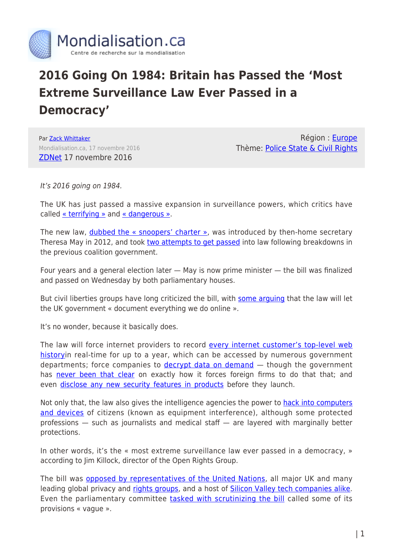

## **2016 Going On 1984: Britain has Passed the 'Most Extreme Surveillance Law Ever Passed in a Democracy'**

Par [Zack Whittaker](https://www.mondialisation.ca/author/zack-whittaker) Mondialisation.ca, 17 novembre 2016 [ZDNet](http://www.zdnet.com/article/snoopers-charter-expansive-new-spying-powers-becomes-law/) 17 novembre 2016

Région : [Europe](https://www.mondialisation.ca/region/europe) Thème: [Police State & Civil Rights](https://www.mondialisation.ca/theme/police-state-civil-rights)

It's 2016 going on 1984.

The UK has just passed a massive expansion in surveillance powers, which critics have called [« terrifying »](https://www.opendemocracy.net/digitaliberties/julian-huppert/uk-investigatory-powers-bill-becomes-law-terrify-us) and [« dangerous ».](https://www.amnesty.org.uk/blogs/yes-minister-it-human-rights-issue/urgent-stop-ipb-investigatory-powers-bill-snoopers-charter-human-rights)

The new law, **dubbed the « snoopers' charter »**, was introduced by then-home secretary Theresa May in 2012, and took [two attempts to get passed](http://www.zdnet.com/article/u-k-web-email-snooping-draft-law-dead-at-least-for-now/) into law following breakdowns in the previous coalition government.

Four years and a general election later  $-$  May is now prime minister  $-$  the bill was finalized and passed on Wednesday by both parliamentary houses.

But civil liberties groups have long criticized the bill, with [some arguing](https://medium.com/@privacyint/the-database-of-you-2b4347ad74e3#.oz1628md5) that the law will let the UK government « document everything we do online ».

It's no wonder, because it basically does.

The law will force internet providers to record [every internet customer's top-level web](http://www.zdnet.com/article/web-snooping-law-moves-ahead-despite-warning-of-suspicionless-surveillance/) [historyi](http://www.zdnet.com/article/web-snooping-law-moves-ahead-despite-warning-of-suspicionless-surveillance/)n real-time for up to a year, which can be accessed by numerous government departments; force companies to [decrypt data on demand](http://www.zdnet.com/article/new-uk-spying-bill-forces-apple-google-to-decrypt-phones-tablets/) – though the government has [never been that clear](http://www.zdnet.com/article/the-governments-encryption-plans-remain-impossible-to-decipher/) on exactly how it forces foreign firms to do that that; and even [disclose any new security features in products](http://www.zdnet.com/article/uk-spy-bill-will-force-tech-firms-to-disclose-future-products-before-launch/) before they launch.

Not only that, the law also gives the intelligence agencies the power to [hack into computers](http://www.zdnet.com/article/despite-hacking-and-snooping-fears-web-surveillance-legislation-sails-forward/) [and devices](http://www.zdnet.com/article/despite-hacking-and-snooping-fears-web-surveillance-legislation-sails-forward/) of citizens (known as equipment interference), although some protected professions — such as journalists and medical staff — are layered with marginally better protections.

In other words, it's the « most extreme surveillance law ever passed in a democracy, » according to Jim Killock, director of the Open Rights Group.

The bill was [opposed by representatives of the United Nations,](http://www.zdnet.com/article/now-the-un-slams-web-surveillance-plans-as-disproportionate-and-intrusive/) all major UK and many leading global privacy and [rights groups](https://www.eff.org/deeplinks/2015/01/peer-pressure-making-sure-snoopers-charter-doesnt-come-back), and a host of [Silicon Valley tech companies alike.](http://www.zdnet.com/article/apple-google-microsoft-attack-government-hacking-plans/) Even the parliamentary committee [tasked with scrutinizing the bill](http://www.zdnet.com/article/uk-parliament-committee-warns-against-ban-on-strong-encryption/) called some of its provisions « vague ».